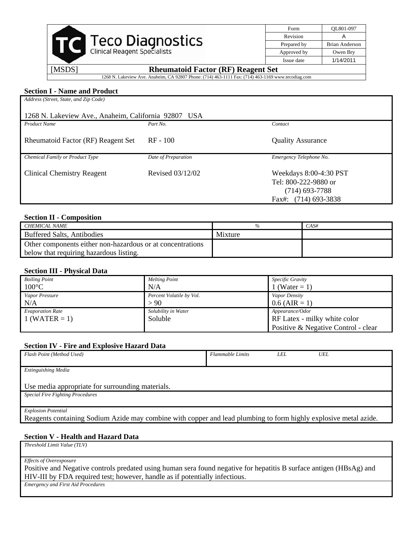|                                                     | Form        | OL801-097      |
|-----------------------------------------------------|-------------|----------------|
|                                                     | Revision    |                |
| <b>Teco Diagnostics</b>                             | Prepared by | Brian Anderson |
| <b>Clinical Reagent Specialists</b>                 | Approved by | Owen Bry       |
|                                                     | Issue date  | 1/14/2011      |
| [MSDS]<br><b>Rheumatoid Factor (RF) Reagent Set</b> |             |                |

1268 N. Lakeview Ave. Anaheim, CA 92807 Phone: (714) 463-1111 Fax: (714) 463-1169 www.tecodiag.com

# **Section I - Name and Product**

| Address (Street, State, and Zip Code)                                |                     |                                                                                              |  |  |  |  |
|----------------------------------------------------------------------|---------------------|----------------------------------------------------------------------------------------------|--|--|--|--|
| 1268 N. Lakeview Ave., Anaheim, California 92807<br>USA <sup>.</sup> |                     |                                                                                              |  |  |  |  |
| <b>Product Name</b>                                                  | Part No.            | Contact                                                                                      |  |  |  |  |
| <b>Rheumatoid Factor (RF) Reagent Set</b>                            | $RF - 100$          | <b>Quality Assurance</b>                                                                     |  |  |  |  |
| Chemical Family or Product Type                                      | Date of Preparation | Emergency Telephone No.                                                                      |  |  |  |  |
| Clinical Chemistry Reagent                                           | Revised 03/12/02    | Weekdays 8:00-4:30 PST<br>Tel: 800-222-9880 or<br>$(714)$ 693-7788<br>Fax#: $(714)$ 693-3838 |  |  |  |  |

## **Section II - Composition**

| CHEMICAL NAME                                              |         | CAS# |
|------------------------------------------------------------|---------|------|
| Buffered Salts, Antibodies                                 | Mixture |      |
| Other components either non-hazardous or at concentrations |         |      |
| below that requiring hazardous listing.                    |         |      |

#### **Section III - Physical Data**

| <b>Boiling Point</b>    | <b>Melting Point</b>     | Specific Gravity                    |
|-------------------------|--------------------------|-------------------------------------|
| $100^{\circ}$ C         | N/A                      | 1 (Water = 1)                       |
| Vapor Pressure          | Percent Volatile by Vol. | Vapor Density                       |
| N/A                     | > 90                     | $0.6$ (AIR = 1)                     |
| <b>Evaporation Rate</b> | Solubility in Water      | Appearance/Odor                     |
| $1$ (WATER = 1)         | Soluble                  | RF Latex - milky white color        |
|                         |                          | Positive & Negative Control - clear |

## **Section IV - Fire and Explosive Hazard Data**

| Flash Point (Method Used)                                                                                        | <b>Flammable Limits</b> | LEL. | UEL |  |  |
|------------------------------------------------------------------------------------------------------------------|-------------------------|------|-----|--|--|
|                                                                                                                  |                         |      |     |  |  |
| Extinguishing Media                                                                                              |                         |      |     |  |  |
|                                                                                                                  |                         |      |     |  |  |
| Use media appropriate for surrounding materials.                                                                 |                         |      |     |  |  |
| <b>Special Fire Fighting Procedures</b>                                                                          |                         |      |     |  |  |
|                                                                                                                  |                         |      |     |  |  |
| <b>Explosion Potential</b>                                                                                       |                         |      |     |  |  |
| Reagents containing Sodium Azide may combine with copper and lead plumbing to form highly explosive metal azide. |                         |      |     |  |  |

## **Section V - Health and Hazard Data**

*Threshold Limit Value (TLV)*

*Effects of Overexposure*

Positive and Negative controls predated using human sera found negative for hepatitis B surface antigen (HBsAg) and HIV-III by FDA required test; however, handle as if potentially infectious.

*Emergency and First Aid Procedures*